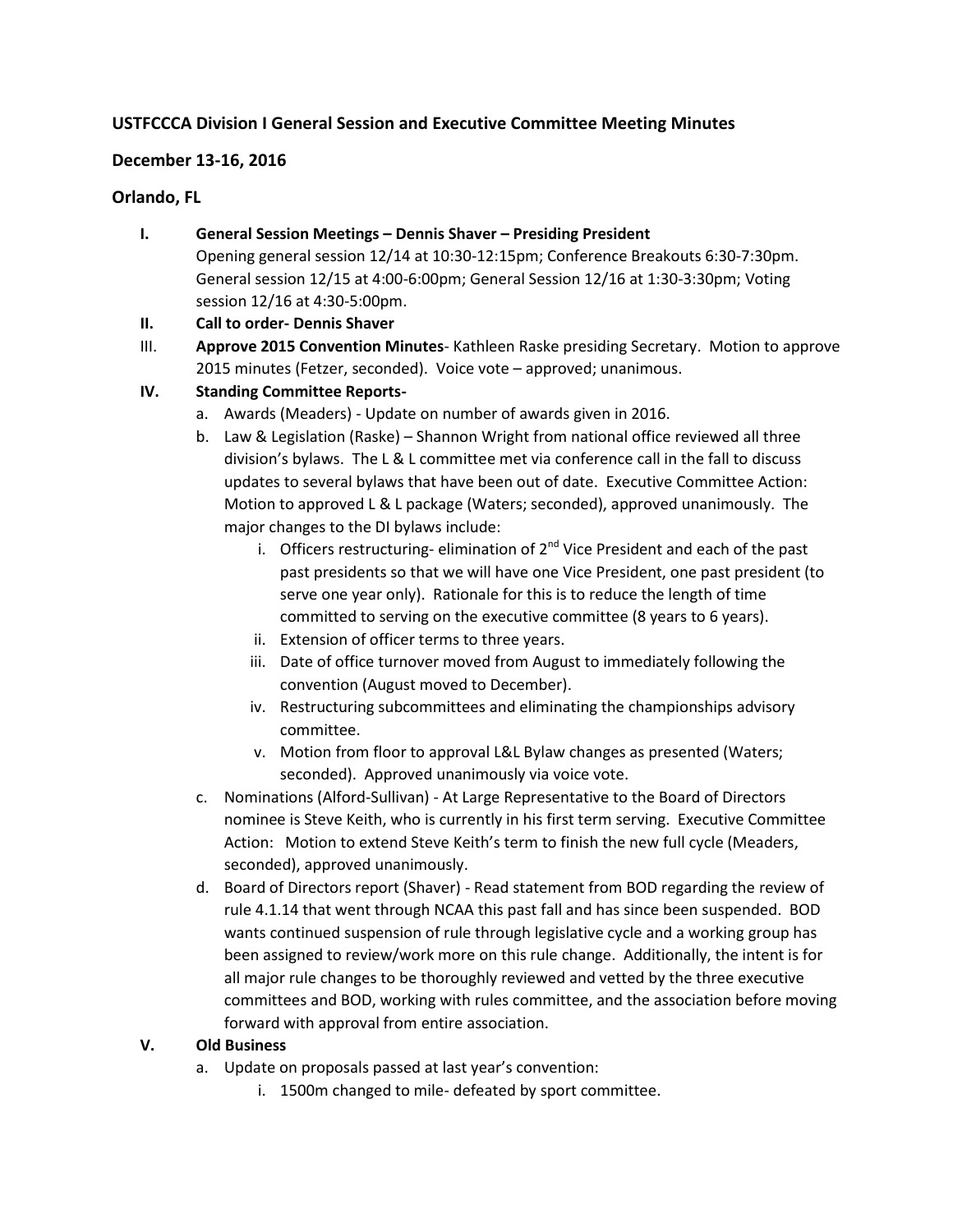# **USTFCCCA Division I General Session and Executive Committee Meeting Minutes**

### **December 13-16, 2016**

### **Orlando, FL**

- **I. General Session Meetings – Dennis Shaver – Presiding President** Opening general session 12/14 at 10:30-12:15pm; Conference Breakouts 6:30-7:30pm. General session 12/15 at 4:00-6:00pm; General Session 12/16 at 1:30-3:30pm; Voting session 12/16 at 4:30-5:00pm.
- **II. Call to order- Dennis Shaver**
- III. **Approve 2015 Convention Minutes** Kathleen Raske presiding Secretary. Motion to approve 2015 minutes (Fetzer, seconded). Voice vote – approved; unanimous.

## **IV. Standing Committee Reports-**

- a. Awards (Meaders) Update on number of awards given in 2016.
- b. Law & Legislation (Raske) Shannon Wright from national office reviewed all three division's bylaws. The L & L committee met via conference call in the fall to discuss updates to several bylaws that have been out of date. Executive Committee Action: Motion to approved L & L package (Waters; seconded), approved unanimously. The major changes to the DI bylaws include:
	- i. Officers restructuring-elimination of  $2<sup>nd</sup>$  Vice President and each of the past past presidents so that we will have one Vice President, one past president (to serve one year only). Rationale for this is to reduce the length of time committed to serving on the executive committee (8 years to 6 years).
	- ii. Extension of officer terms to three years.
	- iii. Date of office turnover moved from August to immediately following the convention (August moved to December).
	- iv. Restructuring subcommittees and eliminating the championships advisory committee.
	- v. Motion from floor to approval L&L Bylaw changes as presented (Waters; seconded). Approved unanimously via voice vote.
- c. Nominations (Alford-Sullivan) At Large Representative to the Board of Directors nominee is Steve Keith, who is currently in his first term serving. Executive Committee Action: Motion to extend Steve Keith's term to finish the new full cycle (Meaders, seconded), approved unanimously.
- d. Board of Directors report (Shaver) Read statement from BOD regarding the review of rule 4.1.14 that went through NCAA this past fall and has since been suspended. BOD wants continued suspension of rule through legislative cycle and a working group has been assigned to review/work more on this rule change. Additionally, the intent is for all major rule changes to be thoroughly reviewed and vetted by the three executive committees and BOD, working with rules committee, and the association before moving forward with approval from entire association.

#### **V. Old Business**

- a. Update on proposals passed at last year's convention:
	- i. 1500m changed to mile- defeated by sport committee.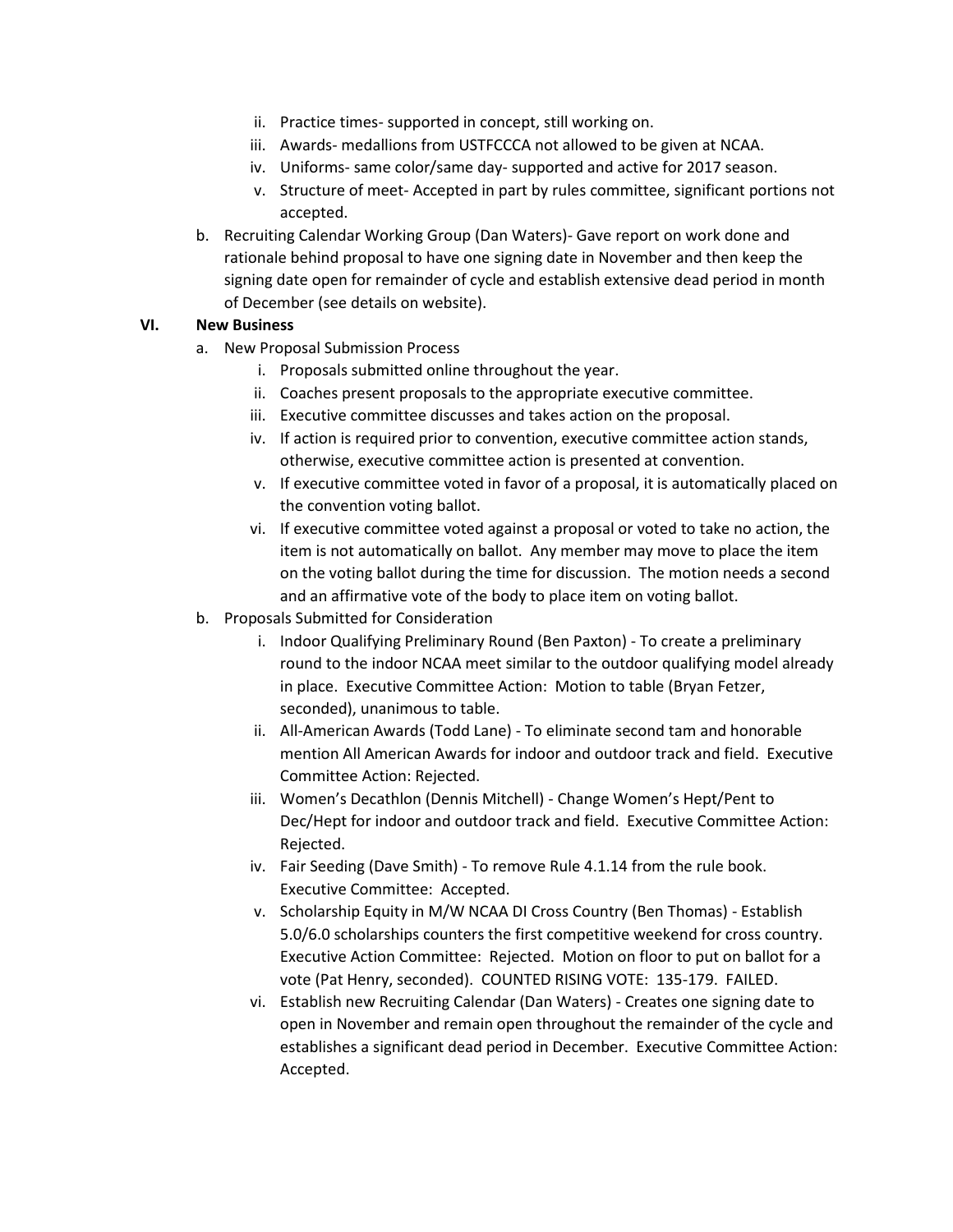- ii. Practice times- supported in concept, still working on.
- iii. Awards- medallions from USTFCCCA not allowed to be given at NCAA.
- iv. Uniforms- same color/same day- supported and active for 2017 season.
- v. Structure of meet- Accepted in part by rules committee, significant portions not accepted.
- b. Recruiting Calendar Working Group (Dan Waters)- Gave report on work done and rationale behind proposal to have one signing date in November and then keep the signing date open for remainder of cycle and establish extensive dead period in month of December (see details on website).

#### **VI. New Business**

- a. New Proposal Submission Process
	- i. Proposals submitted online throughout the year.
	- ii. Coaches present proposals to the appropriate executive committee.
	- iii. Executive committee discusses and takes action on the proposal.
	- iv. If action is required prior to convention, executive committee action stands, otherwise, executive committee action is presented at convention.
	- v. If executive committee voted in favor of a proposal, it is automatically placed on the convention voting ballot.
	- vi. If executive committee voted against a proposal or voted to take no action, the item is not automatically on ballot. Any member may move to place the item on the voting ballot during the time for discussion. The motion needs a second and an affirmative vote of the body to place item on voting ballot.
- b. Proposals Submitted for Consideration
	- i. Indoor Qualifying Preliminary Round (Ben Paxton) To create a preliminary round to the indoor NCAA meet similar to the outdoor qualifying model already in place. Executive Committee Action: Motion to table (Bryan Fetzer, seconded), unanimous to table.
	- ii. All-American Awards (Todd Lane) To eliminate second tam and honorable mention All American Awards for indoor and outdoor track and field. Executive Committee Action: Rejected.
	- iii. Women's Decathlon (Dennis Mitchell) Change Women's Hept/Pent to Dec/Hept for indoor and outdoor track and field. Executive Committee Action: Rejected.
	- iv. Fair Seeding (Dave Smith) To remove Rule 4.1.14 from the rule book. Executive Committee: Accepted.
	- v. Scholarship Equity in M/W NCAA DI Cross Country (Ben Thomas) Establish 5.0/6.0 scholarships counters the first competitive weekend for cross country. Executive Action Committee: Rejected. Motion on floor to put on ballot for a vote (Pat Henry, seconded). COUNTED RISING VOTE: 135-179. FAILED.
	- vi. Establish new Recruiting Calendar (Dan Waters) Creates one signing date to open in November and remain open throughout the remainder of the cycle and establishes a significant dead period in December. Executive Committee Action: Accepted.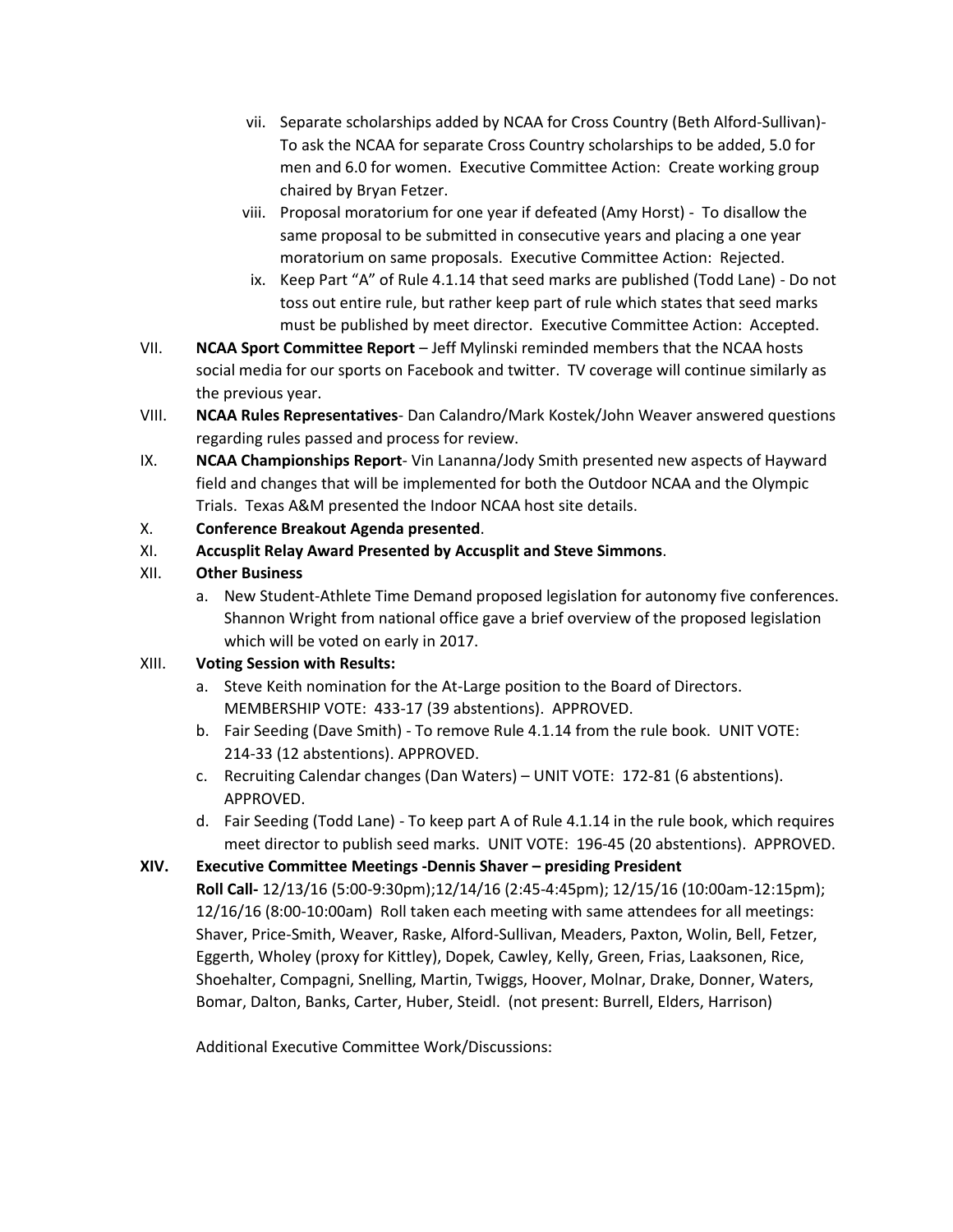- vii. Separate scholarships added by NCAA for Cross Country (Beth Alford-Sullivan)- To ask the NCAA for separate Cross Country scholarships to be added, 5.0 for men and 6.0 for women. Executive Committee Action: Create working group chaired by Bryan Fetzer.
- viii. Proposal moratorium for one year if defeated (Amy Horst) To disallow the same proposal to be submitted in consecutive years and placing a one year moratorium on same proposals. Executive Committee Action: Rejected.
- ix. Keep Part "A" of Rule 4.1.14 that seed marks are published (Todd Lane) Do not toss out entire rule, but rather keep part of rule which states that seed marks must be published by meet director. Executive Committee Action: Accepted.
- VII. **NCAA Sport Committee Report** Jeff Mylinski reminded members that the NCAA hosts social media for our sports on Facebook and twitter. TV coverage will continue similarly as the previous year.
- VIII. **NCAA Rules Representatives** Dan Calandro/Mark Kostek/John Weaver answered questions regarding rules passed and process for review.
- IX. **NCAA Championships Report** Vin Lananna/Jody Smith presented new aspects of Hayward field and changes that will be implemented for both the Outdoor NCAA and the Olympic Trials. Texas A&M presented the Indoor NCAA host site details.
- X. **Conference Breakout Agenda presented**.
- XI. **Accusplit Relay Award Presented by Accusplit and Steve Simmons**.
- XII. **Other Business**
	- a. New Student-Athlete Time Demand proposed legislation for autonomy five conferences. Shannon Wright from national office gave a brief overview of the proposed legislation which will be voted on early in 2017.

## XIII. **Voting Session with Results:**

- a. Steve Keith nomination for the At-Large position to the Board of Directors. MEMBERSHIP VOTE: 433-17 (39 abstentions). APPROVED.
- b. Fair Seeding (Dave Smith) To remove Rule 4.1.14 from the rule book. UNIT VOTE: 214-33 (12 abstentions). APPROVED.
- c. Recruiting Calendar changes (Dan Waters) UNIT VOTE: 172-81 (6 abstentions). APPROVED.
- d. Fair Seeding (Todd Lane) To keep part A of Rule 4.1.14 in the rule book, which requires meet director to publish seed marks. UNIT VOTE: 196-45 (20 abstentions). APPROVED.

# **XIV. Executive Committee Meetings -Dennis Shaver – presiding President**

**Roll Call-** 12/13/16 (5:00-9:30pm);12/14/16 (2:45-4:45pm); 12/15/16 (10:00am-12:15pm); 12/16/16 (8:00-10:00am) Roll taken each meeting with same attendees for all meetings: Shaver, Price-Smith, Weaver, Raske, Alford-Sullivan, Meaders, Paxton, Wolin, Bell, Fetzer, Eggerth, Wholey (proxy for Kittley), Dopek, Cawley, Kelly, Green, Frias, Laaksonen, Rice, Shoehalter, Compagni, Snelling, Martin, Twiggs, Hoover, Molnar, Drake, Donner, Waters, Bomar, Dalton, Banks, Carter, Huber, Steidl. (not present: Burrell, Elders, Harrison)

Additional Executive Committee Work/Discussions: